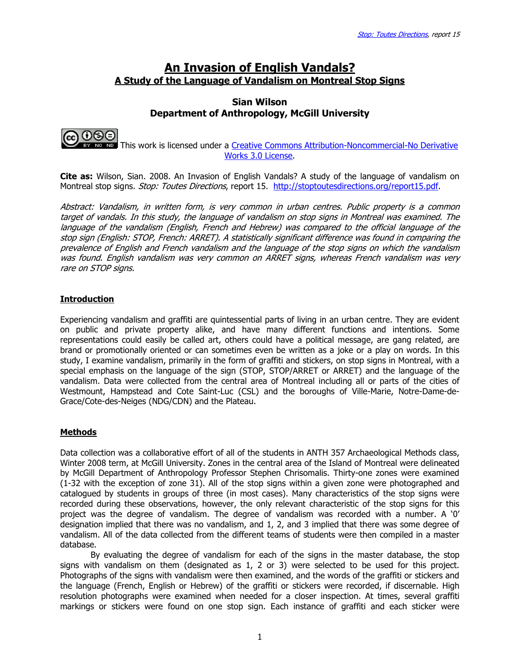# An Invasion of English Vandals? A Study of the Language of Vandalism on Montreal Stop Signs

## Sian Wilson Department of Anthropology, McGill University



 This work is licensed under a Creative Commons Attribution-Noncommercial-No Derivative Works 3.0 License.

**Cite as:** Wilson, Sian. 2008. An Invasion of English Vandals? A study of the language of vandalism on Montreal stop signs. Stop: Toutes Directions, report 15. http://stoptoutesdirections.org/report15.pdf.

Abstract: Vandalism, in written form, is very common in urban centres. Public property is a common target of vandals. In this study, the language of vandalism on stop signs in Montreal was examined. The language of the vandalism (English, French and Hebrew) was compared to the official language of the stop sign (English: STOP, French: ARRET). A statistically significant difference was found in comparing the prevalence of English and French vandalism and the language of the stop signs on which the vandalism .<br>was found. English vandalism was very common on ARRET signs, whereas French vandalism was very rare on STOP signs.

## **Introduction**

Experiencing vandalism and graffiti are quintessential parts of living in an urban centre. They are evident on public and private property alike, and have many different functions and intentions. Some representations could easily be called art, others could have a political message, are gang related, are brand or promotionally oriented or can sometimes even be written as a joke or a play on words. In this study, I examine vandalism, primarily in the form of graffiti and stickers, on stop signs in Montreal, with a special emphasis on the language of the sign (STOP, STOP/ARRET or ARRET) and the language of the vandalism. Data were collected from the central area of Montreal including all or parts of the cities of Westmount, Hampstead and Cote Saint-Luc (CSL) and the boroughs of Ville-Marie, Notre-Dame-de-Grace/Cote-des-Neiges (NDG/CDN) and the Plateau.

### Methods

Data collection was a collaborative effort of all of the students in ANTH 357 Archaeological Methods class, Winter 2008 term, at McGill University. Zones in the central area of the Island of Montreal were delineated by McGill Department of Anthropology Professor Stephen Chrisomalis. Thirty-one zones were examined (1-32 with the exception of zone 31). All of the stop signs within a given zone were photographed and catalogued by students in groups of three (in most cases). Many characteristics of the stop signs were recorded during these observations, however, the only relevant characteristic of the stop signs for this project was the degree of vandalism. The degree of vandalism was recorded with a number. A '0' designation implied that there was no vandalism, and 1, 2, and 3 implied that there was some degree of vandalism. All of the data collected from the different teams of students were then compiled in a master database.

By evaluating the degree of vandalism for each of the signs in the master database, the stop signs with vandalism on them (designated as 1, 2 or 3) were selected to be used for this project. Photographs of the signs with vandalism were then examined, and the words of the graffiti or stickers and the language (French, English or Hebrew) of the graffiti or stickers were recorded, if discernable. High resolution photographs were examined when needed for a closer inspection. At times, several graffiti markings or stickers were found on one stop sign. Each instance of graffiti and each sticker were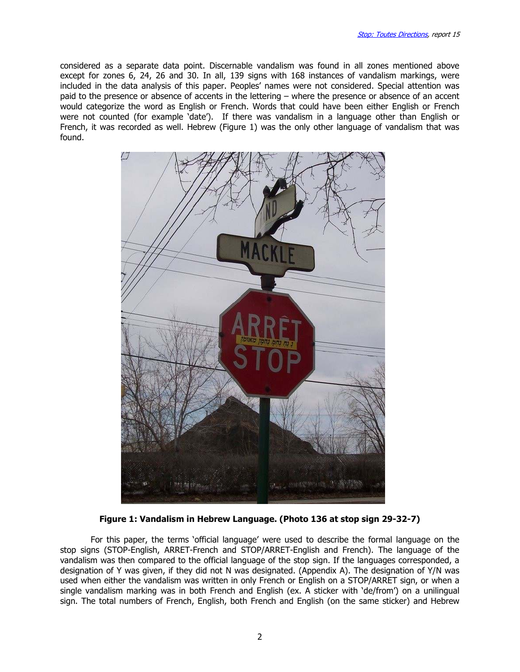considered as a separate data point. Discernable vandalism was found in all zones mentioned above except for zones 6, 24, 26 and 30. In all, 139 signs with 168 instances of vandalism markings, were included in the data analysis of this paper. Peoples' names were not considered. Special attention was paid to the presence or absence of accents in the lettering – where the presence or absence of an accent would categorize the word as English or French. Words that could have been either English or French were not counted (for example 'date'). If there was vandalism in a language other than English or French, it was recorded as well. Hebrew (Figure 1) was the only other language of vandalism that was found.



Figure 1: Vandalism in Hebrew Language. (Photo 136 at stop sign 29-32-7)

For this paper, the terms 'official language' were used to describe the formal language on the stop signs (STOP-English, ARRET-French and STOP/ARRET-English and French). The language of the vandalism was then compared to the official language of the stop sign. If the languages corresponded, a designation of Y was given, if they did not N was designated. (Appendix A). The designation of Y/N was used when either the vandalism was written in only French or English on a STOP/ARRET sign, or when a single vandalism marking was in both French and English (ex. A sticker with 'de/from') on a unilingual sign. The total numbers of French, English, both French and English (on the same sticker) and Hebrew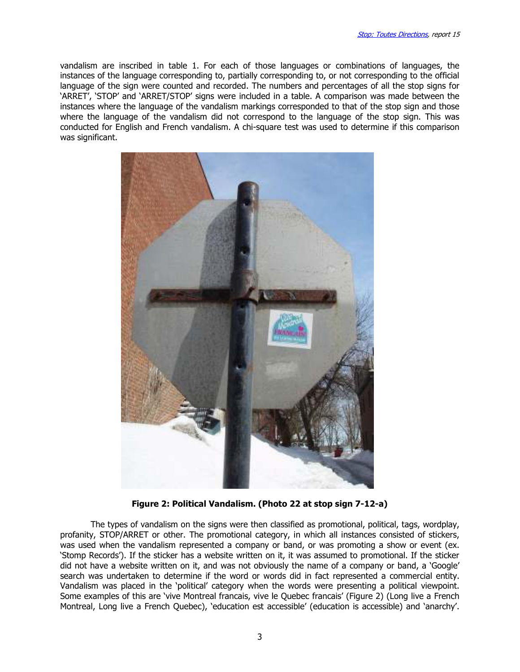vandalism are inscribed in table 1. For each of those languages or combinations of languages, the instances of the language corresponding to, partially corresponding to, or not corresponding to the official language of the sign were counted and recorded. The numbers and percentages of all the stop signs for 'ARRET', 'STOP' and 'ARRET/STOP' signs were included in a table. A comparison was made between the instances where the language of the vandalism markings corresponded to that of the stop sign and those where the language of the vandalism did not correspond to the language of the stop sign. This was conducted for English and French vandalism. A chi-square test was used to determine if this comparison was significant.



Figure 2: Political Vandalism. (Photo 22 at stop sign 7-12-a)

The types of vandalism on the signs were then classified as promotional, political, tags, wordplay, profanity, STOP/ARRET or other. The promotional category, in which all instances consisted of stickers, was used when the vandalism represented a company or band, or was promoting a show or event (ex. 'Stomp Records'). If the sticker has a website written on it, it was assumed to promotional. If the sticker did not have a website written on it, and was not obviously the name of a company or band, a 'Google' search was undertaken to determine if the word or words did in fact represented a commercial entity. Vandalism was placed in the 'political' category when the words were presenting a political viewpoint. Some examples of this are 'vive Montreal francais, vive le Quebec francais' (Figure 2) (Long live a French Montreal, Long live a French Quebec), 'education est accessible' (education is accessible) and 'anarchy'.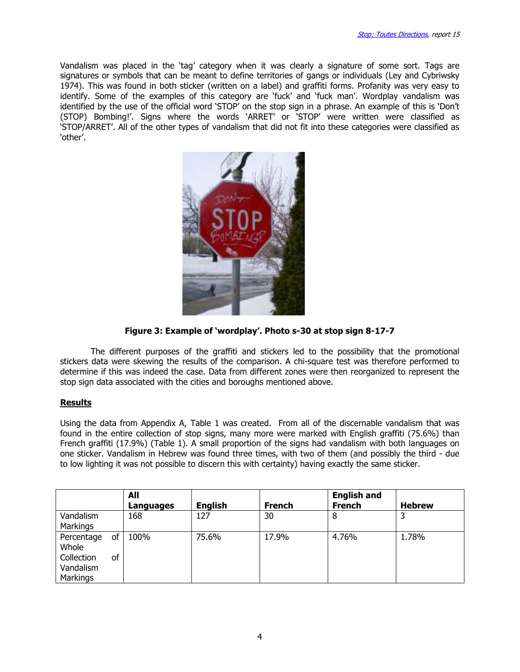Vandalism was placed in the 'tag' category when it was clearly a signature of some sort. Tags are signatures or symbols that can be meant to define territories of gangs or individuals (Ley and Cybriwsky 1974). This was found in both sticker (written on a label) and graffiti forms. Profanity was very easy to identify. Some of the examples of this category are 'fuck' and 'fuck man'. Wordplay vandalism was identified by the use of the official word 'STOP' on the stop sign in a phrase. An example of this is 'Don't (STOP) Bombing!'. Signs where the words 'ARRET' or 'STOP' were written were classified as 'STOP/ARRET'. All of the other types of vandalism that did not fit into these categories were classified as 'other'.



Figure 3: Example of 'wordplay'. Photo s-30 at stop sign 8-17-7

The different purposes of the graffiti and stickers led to the possibility that the promotional stickers data were skewing the results of the comparison. A chi-square test was therefore performed to determine if this was indeed the case. Data from different zones were then reorganized to represent the stop sign data associated with the cities and boroughs mentioned above.

#### Results

Using the data from Appendix A, Table 1 was created. From all of the discernable vandalism that was found in the entire collection of stop signs, many more were marked with English graffiti (75.6%) than French graffiti (17.9%) (Table 1). A small proportion of the signs had vandalism with both languages on one sticker. Vandalism in Hebrew was found three times, with two of them (and possibly the third - due to low lighting it was not possible to discern this with certainty) having exactly the same sticker.

|                                                            |          | All<br>Languages | <b>English</b> | <b>French</b> | <b>English and</b><br><b>French</b> | <b>Hebrew</b> |
|------------------------------------------------------------|----------|------------------|----------------|---------------|-------------------------------------|---------------|
| Vandalism<br><b>Markings</b>                               |          | 168              | 127            | 30            | 8                                   | 3             |
| Percentage<br>Whole<br>Collection<br>Vandalism<br>Markings | 0f<br>of | 100%             | 75.6%          | 17.9%         | 4.76%                               | 1.78%         |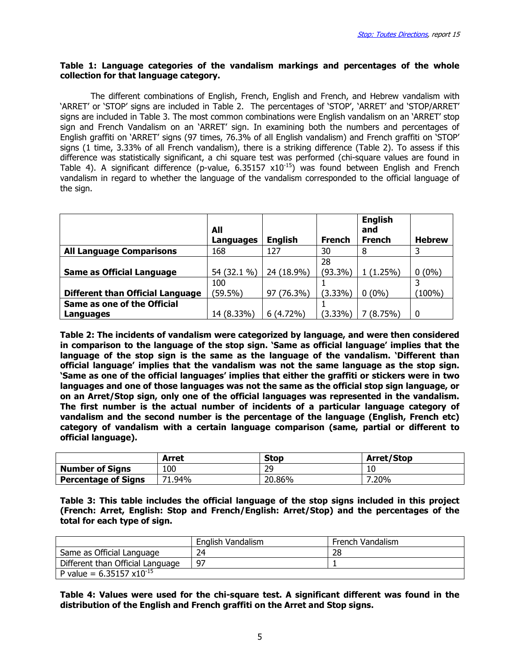#### Table 1: Language categories of the vandalism markings and percentages of the whole collection for that language category.

The different combinations of English, French, English and French, and Hebrew vandalism with 'ARRET' or 'STOP' signs are included in Table 2. The percentages of 'STOP', 'ARRET' and 'STOP/ARRET' signs are included in Table 3. The most common combinations were English vandalism on an 'ARRET' stop sign and French Vandalism on an 'ARRET' sign. In examining both the numbers and percentages of English graffiti on 'ARRET' signs (97 times, 76.3% of all English vandalism) and French graffiti on 'STOP' signs (1 time, 3.33% of all French vandalism), there is a striking difference (Table 2). To assess if this difference was statistically significant, a chi square test was performed (chi-square values are found in Table 4). A significant difference (p-value, 6.35157  $x10^{-15}$ ) was found between English and French vandalism in regard to whether the language of the vandalism corresponded to the official language of the sign.

|                                         | All         |                |               | <b>English</b><br>and |               |
|-----------------------------------------|-------------|----------------|---------------|-----------------------|---------------|
|                                         | Languages   | <b>English</b> | <b>French</b> | <b>French</b>         | <b>Hebrew</b> |
| <b>All Language Comparisons</b>         | 168         | 127            | 30            | 8                     |               |
|                                         |             |                | 28            |                       |               |
| <b>Same as Official Language</b>        | 54 (32.1 %) | 24 (18.9%)     | $(93.3\%)$    | 1(1.25%)              | $0(0\%)$      |
|                                         | 100         |                |               |                       |               |
| <b>Different than Official Language</b> | $(59.5\%)$  | 97 (76.3%)     | $(3.33\%)$    | $0(0\%)$              | $(100\%)$     |
| Same as one of the Official             |             |                |               |                       |               |
| Languages                               | 14 (8.33%)  | $6(4.72\%)$    | $(3.33\%)$    | (8.75%)               | $\Omega$      |

Table 2: The incidents of vandalism were categorized by language, and were then considered in comparison to the language of the stop sign. 'Same as official language' implies that the language of the stop sign is the same as the language of the vandalism. 'Different than official language' implies that the vandalism was not the same language as the stop sign. 'Same as one of the official languages' implies that either the graffiti or stickers were in two languages and one of those languages was not the same as the official stop sign language, or on an Arret/Stop sign, only one of the official languages was represented in the vandalism. The first number is the actual number of incidents of a particular language category of vandalism and the second number is the percentage of the language (English, French etc) category of vandalism with a certain language comparison (same, partial or different to official language).

|                            | Arret  | <b>Stop</b> | <b>Arret/Stop</b> |
|----------------------------|--------|-------------|-------------------|
| <b>Number of Signs</b>     | 100    | 29          | 10                |
| <b>Percentage of Signs</b> | 71.94% | 20.86%      | .20%              |

Table 3: This table includes the official language of the stop signs included in this project (French: Arret, English: Stop and French/English: Arret/Stop) and the percentages of the total for each type of sign.

|                                     | English Vandalism | French Vandalism |
|-------------------------------------|-------------------|------------------|
| Same as Official Language           | 24                | 28               |
| Different than Official Language    | 97                |                  |
| P value = $6.35157 \times 10^{-15}$ |                   |                  |

Table 4: Values were used for the chi-square test. A significant different was found in the distribution of the English and French graffiti on the Arret and Stop signs.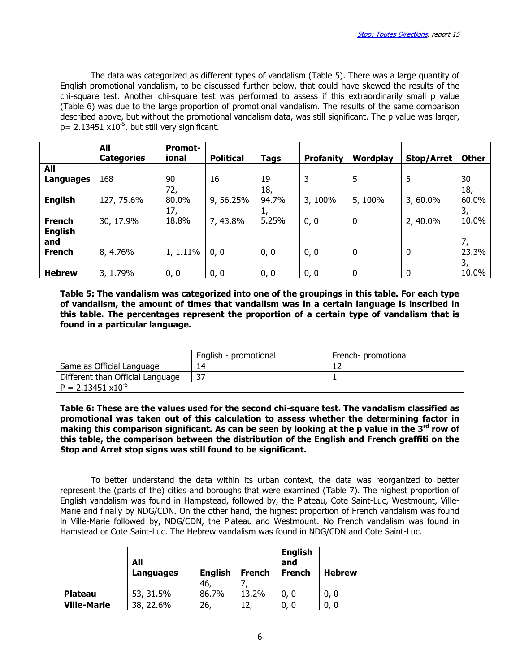The data was categorized as different types of vandalism (Table 5). There was a large quantity of English promotional vandalism, to be discussed further below, that could have skewed the results of the chi-square test. Another chi-square test was performed to assess if this extraordinarily small p value (Table 6) was due to the large proportion of promotional vandalism. The results of the same comparison described above, but without the promotional vandalism data, was still significant. The p value was larger,  $p= 2.13451 \times 10^{-5}$ , but still very significant.

|                | All<br><b>Categories</b> | <b>Promot-</b><br>ional | <b>Political</b> | <b>Tags</b> | <b>Profanity</b> | Wordplay | <b>Stop/Arret</b> | <b>Other</b> |
|----------------|--------------------------|-------------------------|------------------|-------------|------------------|----------|-------------------|--------------|
| All            |                          |                         |                  |             |                  |          |                   |              |
| Languages      | 168                      | 90                      | 16               | 19          | 3                | 5        | 5                 | 30           |
|                |                          | 72,                     |                  | 18,         |                  |          |                   | 18,          |
| <b>English</b> | 127, 75.6%               | 80.0%                   | 9, 56.25%        | 94.7%       | 3, 100%          | 5, 100%  | 3,60.0%           | 60.0%        |
|                |                          | 17,                     |                  |             |                  |          |                   | 3,           |
| <b>French</b>  | 30, 17.9%                | 18.8%                   | 7, 43.8%         | 5.25%       | 0, 0             | 0        | 2, 40.0%          | 10.0%        |
| <b>English</b> |                          |                         |                  |             |                  |          |                   |              |
| and            |                          |                         |                  |             |                  |          |                   | 7,           |
| <b>French</b>  | 8, 4.76%                 | 1, 1.11%                | 0, 0             | 0, 0        | 0, 0             | 0        | $\mathbf{0}$      | 23.3%        |
|                |                          |                         |                  |             |                  |          |                   | 3,           |
| <b>Hebrew</b>  | 3, 1.79%                 | 0, 0                    | 0, 0             | 0, 0        | 0, 0             | 0        | $\mathbf 0$       | 10.0%        |

Table 5: The vandalism was categorized into one of the groupings in this table. For each type of vandalism, the amount of times that vandalism was in a certain language is inscribed in this table. The percentages represent the proportion of a certain type of vandalism that is found in a particular language.

|                                  | English - promotional | French- promotional |
|----------------------------------|-----------------------|---------------------|
| Same as Official Language        | 14                    |                     |
| Different than Official Language | 37                    |                     |
| $P = 2.13451 \times 10^{-5}$     |                       |                     |

Table 6: These are the values used for the second chi-square test. The vandalism classified as promotional was taken out of this calculation to assess whether the determining factor in making this comparison significant. As can be seen by looking at the p value in the  $3^{rd}$  row of this table, the comparison between the distribution of the English and French graffiti on the Stop and Arret stop signs was still found to be significant.

 To better understand the data within its urban context, the data was reorganized to better represent the (parts of the) cities and boroughs that were examined (Table 7). The highest proportion of English vandalism was found in Hampstead, followed by, the Plateau, Cote Saint-Luc, Westmount, Ville-Marie and finally by NDG/CDN. On the other hand, the highest proportion of French vandalism was found in Ville-Marie followed by, NDG/CDN, the Plateau and Westmount. No French vandalism was found in Hamstead or Cote Saint-Luc. The Hebrew vandalism was found in NDG/CDN and Cote Saint-Luc.

|                    | All<br>Languages | <b>English</b> | <b>French</b> | <b>English</b><br>and<br><b>French</b> | <b>Hebrew</b> |
|--------------------|------------------|----------------|---------------|----------------------------------------|---------------|
|                    |                  | 46,            |               |                                        |               |
| <b>Plateau</b>     | 53, 31.5%        | 86.7%          | 13.2%         |                                        | 0. 0          |
| <b>Ville-Marie</b> | 38, 22.6%        | 26             |               |                                        |               |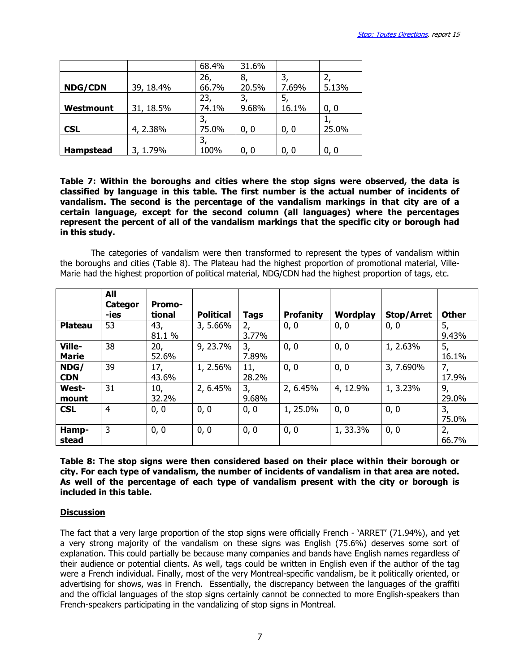|                  |           | 68.4% | 31.6% |       |       |
|------------------|-----------|-------|-------|-------|-------|
|                  |           | 26,   | 8,    |       | 2,    |
| <b>NDG/CDN</b>   | 39, 18.4% | 66.7% | 20.5% | 7.69% | 5.13% |
|                  |           | 23,   | 3,    | 5,    |       |
| Westmount        | 31, 18.5% | 74.1% | 9.68% | 16.1% | 0, 0  |
|                  |           |       |       |       |       |
| <b>CSL</b>       | 4, 2.38%  | 75.0% | 0, 0  | 0, 0  | 25.0% |
|                  |           |       |       |       |       |
| <b>Hampstead</b> | 3, 1.79%  | 100%  | 0. 0  | 0, 0  | 0, 0  |

Table 7: Within the boroughs and cities where the stop signs were observed, the data is classified by language in this table. The first number is the actual number of incidents of vandalism. The second is the percentage of the vandalism markings in that city are of a certain language, except for the second column (all languages) where the percentages represent the percent of all of the vandalism markings that the specific city or borough had in this study.

 The categories of vandalism were then transformed to represent the types of vandalism within the boroughs and cities (Table 8). The Plateau had the highest proportion of promotional material, Ville-Marie had the highest proportion of political material, NDG/CDN had the highest proportion of tags, etc.

|                        | All<br><b>Categor</b><br>-ies | <b>Promo-</b><br>tional | <b>Political</b> | <b>Tags</b>  | <b>Profanity</b> | Wordplay | Stop/Arret | <b>Other</b> |
|------------------------|-------------------------------|-------------------------|------------------|--------------|------------------|----------|------------|--------------|
| <b>Plateau</b>         | 53                            | 43,<br>81.1%            | 3, 5.66%         | 2,<br>3.77%  | 0, 0             | 0, 0     | 0, 0       | 5,<br>9.43%  |
| Ville-<br><b>Marie</b> | 38                            | 20,<br>52.6%            | 9, 23.7%         | 3,<br>7.89%  | 0, 0             | 0, 0     | 1, 2.63%   | 5,<br>16.1%  |
| NDG/<br><b>CDN</b>     | 39                            | 17,<br>43.6%            | 1, 2.56%         | 11,<br>28.2% | 0, 0             | 0, 0     | 3, 7.690%  | 7,<br>17.9%  |
| <b>West-</b><br>mount  | 31                            | 10,<br>32.2%            | 2, 6.45%         | 3,<br>9.68%  | 2, 6.45%         | 4, 12.9% | 1, 3.23%   | 9,<br>29.0%  |
| <b>CSL</b>             | 4                             | 0, 0                    | 0, 0             | 0, 0         | 1, 25.0%         | 0, 0     | 0, 0       | 3,<br>75.0%  |
| Hamp-<br>stead         | 3                             | 0, 0                    | 0, 0             | 0, 0         | 0, 0             | 1, 33.3% | 0, 0       | 2,<br>66.7%  |

Table 8: The stop signs were then considered based on their place within their borough or city. For each type of vandalism, the number of incidents of vandalism in that area are noted. As well of the percentage of each type of vandalism present with the city or borough is included in this table.

### **Discussion**

The fact that a very large proportion of the stop signs were officially French - 'ARRET' (71.94%), and yet a very strong majority of the vandalism on these signs was English (75.6%) deserves some sort of explanation. This could partially be because many companies and bands have English names regardless of their audience or potential clients. As well, tags could be written in English even if the author of the tag were a French individual. Finally, most of the very Montreal-specific vandalism, be it politically oriented, or advertising for shows, was in French. Essentially, the discrepancy between the languages of the graffiti and the official languages of the stop signs certainly cannot be connected to more English-speakers than French-speakers participating in the vandalizing of stop signs in Montreal.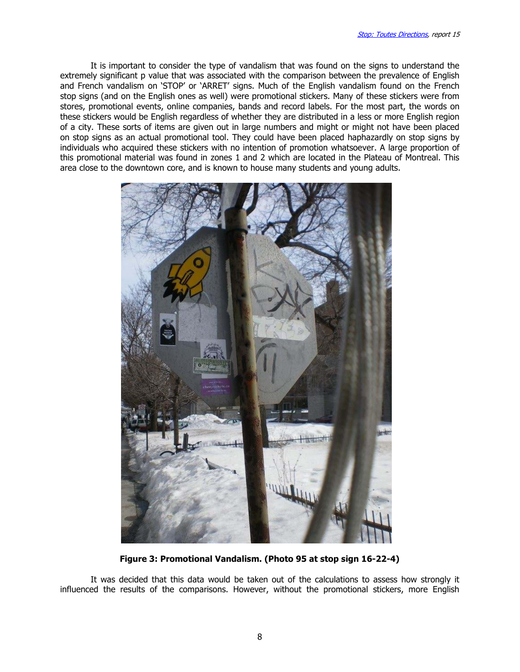It is important to consider the type of vandalism that was found on the signs to understand the extremely significant p value that was associated with the comparison between the prevalence of English and French vandalism on 'STOP' or 'ARRET' signs. Much of the English vandalism found on the French stop signs (and on the English ones as well) were promotional stickers. Many of these stickers were from stores, promotional events, online companies, bands and record labels. For the most part, the words on these stickers would be English regardless of whether they are distributed in a less or more English region of a city. These sorts of items are given out in large numbers and might or might not have been placed on stop signs as an actual promotional tool. They could have been placed haphazardly on stop signs by individuals who acquired these stickers with no intention of promotion whatsoever. A large proportion of this promotional material was found in zones 1 and 2 which are located in the Plateau of Montreal. This area close to the downtown core, and is known to house many students and young adults.



Figure 3: Promotional Vandalism. (Photo 95 at stop sign 16-22-4)

It was decided that this data would be taken out of the calculations to assess how strongly it influenced the results of the comparisons. However, without the promotional stickers, more English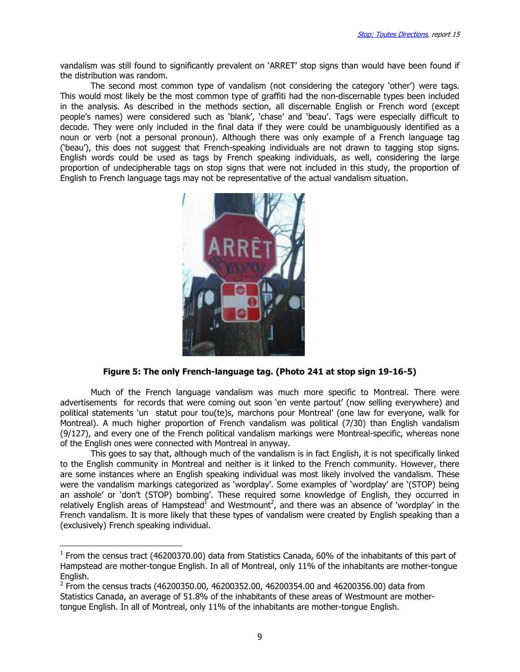vandalism was still found to significantly prevalent on 'ARRET' stop signs than would have been found if the distribution was random.

The second most common type of vandalism (not considering the category 'other') were tags. This would most likely be the most common type of graffiti had the non-discernable types been included in the analysis. As described in the methods section, all discernable English or French word (except people's names) were considered such as 'blank', 'chase' and 'beau'. Tags were especially difficult to decode. They were only included in the final data if they were could be unambiguously identified as a noun or verb (not a personal pronoun). Although there was only example of a French language tag ('beau'), this does not suggest that French-speaking individuals are not drawn to tagging stop signs. English words could be used as tags by French speaking individuals, as well, considering the large proportion of undecipherable tags on stop signs that were not included in this study, the proportion of English to French language tags may not be representative of the actual vandalism situation.



### Figure 5: The only French-language tag. (Photo 241 at stop sign 19-16-5)

Much of the French language vandalism was much more specific to Montreal. There were advertisements for records that were coming out soon 'en vente partout' (now selling everywhere) and political statements 'un statut pour tou(te)s, marchons pour Montreal' (one law for everyone, walk for Montreal). A much higher proportion of French vandalism was political (7/30) than English vandalism (9/127), and every one of the French political vandalism markings were Montreal-specific, whereas none of the English ones were connected with Montreal in anyway.

This goes to say that, although much of the vandalism is in fact English, it is not specifically linked to the English community in Montreal and neither is it linked to the French community. However, there are some instances where an English speaking individual was most likely involved the vandalism. These were the vandalism markings categorized as 'wordplay'. Some examples of 'wordplay' are '(STOP) being an asshole' or 'don't (STOP) bombing'. These required some knowledge of English, they occurred in relatively English areas of Hampstead<sup>1</sup> and Westmount<sup>2</sup>, and there was an absence of `wordplay' in the French vandalism. It is more likely that these types of vandalism were created by English speaking than a (exclusively) French speaking individual.

l

 $<sup>1</sup>$  From the census tract (46200370.00) data from Statistics Canada, 60% of the inhabitants of this part of</sup> Hampstead are mother-tongue English. In all of Montreal, only 11% of the inhabitants are mother-tongue English.

 $^2$  From the census tracts (46200350.00, 46200352.00, 46200354.00 and 46200356.00) data from Statistics Canada, an average of 51.8% of the inhabitants of these areas of Westmount are mothertongue English. In all of Montreal, only 11% of the inhabitants are mother-tongue English.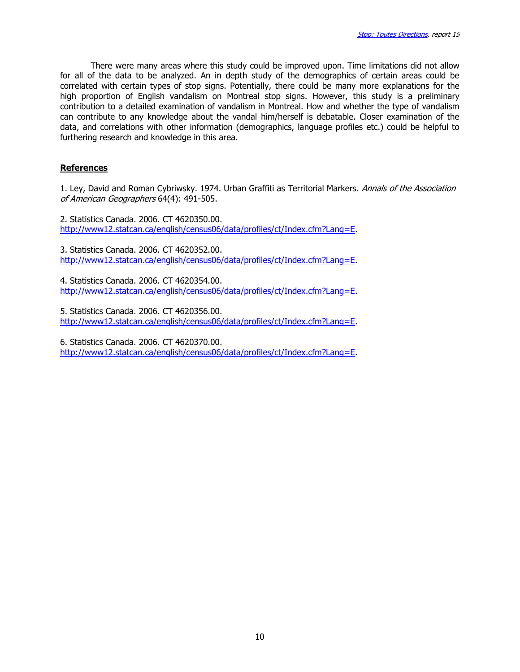There were many areas where this study could be improved upon. Time limitations did not allow for all of the data to be analyzed. An in depth study of the demographics of certain areas could be correlated with certain types of stop signs. Potentially, there could be many more explanations for the high proportion of English vandalism on Montreal stop signs. However, this study is a preliminary contribution to a detailed examination of vandalism in Montreal. How and whether the type of vandalism can contribute to any knowledge about the vandal him/herself is debatable. Closer examination of the data, and correlations with other information (demographics, language profiles etc.) could be helpful to furthering research and knowledge in this area.

### References

1. Ley, David and Roman Cybriwsky. 1974. Urban Graffiti as Territorial Markers. Annals of the Association of American Geographers 64(4): 491-505.

2. Statistics Canada. 2006. CT 4620350.00. http://www12.statcan.ca/english/census06/data/profiles/ct/Index.cfm?Lang=E.

3. Statistics Canada. 2006. CT 4620352.00. http://www12.statcan.ca/english/census06/data/profiles/ct/Index.cfm?Lang=E.

4. Statistics Canada. 2006. CT 4620354.00. http://www12.statcan.ca/english/census06/data/profiles/ct/Index.cfm?Lang=E.

5. Statistics Canada. 2006. CT 4620356.00. http://www12.statcan.ca/english/census06/data/profiles/ct/Index.cfm?Lang=E.

6. Statistics Canada. 2006. CT 4620370.00. http://www12.statcan.ca/english/census06/data/profiles/ct/Index.cfm?Lang=E.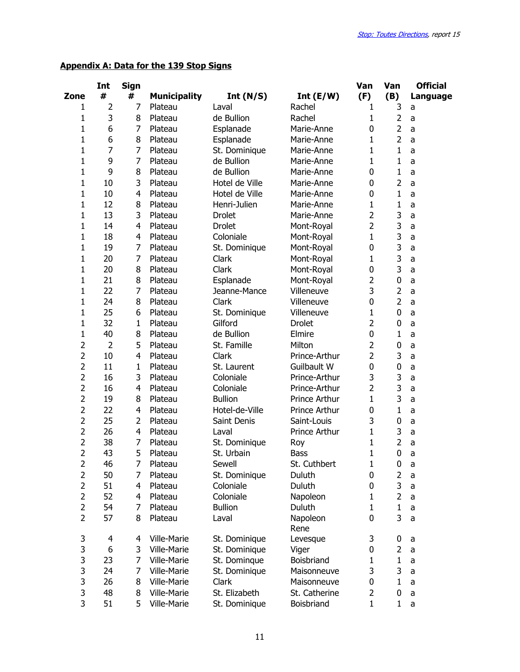# Appendix A: Data for the 139 Stop Signs

|                | Int            | Sign |                     |                |                  | Van            | Van            | <b>Official</b> |
|----------------|----------------|------|---------------------|----------------|------------------|----------------|----------------|-----------------|
| Zone           | #              | #    | <b>Municipality</b> | Int $(N/S)$    | Int $(E/W)$      | (F)            | (B)            | Language        |
| 1              | $\overline{2}$ | 7    | Plateau             | Laval          | Rachel           | 1              | 3              | a               |
| $\mathbf{1}$   | 3              | 8    | Plateau             | de Bullion     | Rachel           | 1              | $\overline{2}$ | a               |
| $\mathbf 1$    | 6              | 7    | Plateau             | Esplanade      | Marie-Anne       | 0              | $\overline{2}$ | a               |
| $\mathbf 1$    | 6              | 8    | Plateau             | Esplanade      | Marie-Anne       | 1              | $\overline{2}$ | a               |
| $\mathbf{1}$   | $\overline{7}$ | 7    | Plateau             | St. Dominique  | Marie-Anne       | 1              | $\mathbf{1}$   | a               |
| $\mathbf{1}$   | 9              | 7    | Plateau             | de Bullion     | Marie-Anne       | $\mathbf{1}$   | 1              | a               |
| $\mathbf 1$    | 9              | 8    | Plateau             | de Bullion     | Marie-Anne       | 0              | 1              | a               |
| 1              | 10             | 3    | Plateau             | Hotel de Ville | Marie-Anne       | 0              | $\overline{2}$ | a               |
| 1              | 10             | 4    | Plateau             | Hotel de Ville | Marie-Anne       | 0              | 1              | a               |
| $\mathbf 1$    | 12             | 8    | Plateau             | Henri-Julien   | Marie-Anne       | $\mathbf{1}$   | 1              | a               |
| $\mathbf 1$    | 13             | 3    | Plateau             | <b>Drolet</b>  | Marie-Anne       | $\overline{2}$ | 3              | a               |
| $\mathbf 1$    | 14             | 4    | Plateau             | <b>Drolet</b>  | Mont-Royal       | $\overline{2}$ | 3              | a               |
| $\mathbf{1}$   | 18             | 4    | Plateau             | Coloniale      | Mont-Royal       | $\mathbf{1}$   | 3              | a               |
| $\mathbf{1}$   | 19             | 7    | Plateau             | St. Dominique  | Mont-Royal       | 0              | 3              | a               |
| $\mathbf 1$    | 20             | 7    | Plateau             | Clark          | Mont-Royal       | 1              | 3              | a               |
| 1              | 20             | 8    | Plateau             | Clark          | Mont-Royal       | 0              | 3              | a               |
| 1              | 21             | 8    | Plateau             | Esplanade      | Mont-Royal       | $\overline{2}$ | 0              | a               |
| $\mathbf 1$    | 22             | 7    | Plateau             | Jeanne-Mance   | Villeneuve       | 3              | $\overline{2}$ | a               |
| 1              | 24             | 8    | Plateau             | Clark          | Villeneuve       | 0              | $\overline{2}$ | a               |
| $\mathbf 1$    | 25             | 6    | Plateau             | St. Dominique  | Villeneuve       | $\mathbf{1}$   | 0              | a               |
| $\mathbf{1}$   | 32             | 1    | Plateau             | Gilford        | <b>Drolet</b>    | $\overline{2}$ | 0              | a               |
| $\mathbf{1}$   | 40             | 8    | Plateau             | de Bullion     | Elmire           | 0              | 1              | a               |
| $\overline{2}$ | $\overline{2}$ | 5    | Plateau             | St. Famille    | Milton           | 2              | 0              | a               |
| $\overline{2}$ | 10             | 4    | Plateau             | Clark          | Prince-Arthur    | 2              | 3              | a               |
| $\overline{2}$ | 11             | 1    | Plateau             | St. Laurent    | Guilbault W      | 0              | 0              | a               |
| $\overline{2}$ | 16             | 3    | Plateau             | Coloniale      | Prince-Arthur    | 3              | 3              | a               |
| $\overline{2}$ | 16             | 4    | Plateau             | Coloniale      | Prince-Arthur    | $\overline{2}$ | 3              | a               |
| $\overline{2}$ | 19             | 8    | Plateau             | <b>Bullion</b> | Prince Arthur    | $\mathbf{1}$   | 3              | a               |
| $\overline{2}$ | 22             | 4    | Plateau             | Hotel-de-Ville | Prince Arthur    | 0              | $\mathbf{1}$   | a               |
| $\overline{2}$ | 25             | 2    | Plateau             | Saint Denis    | Saint-Louis      | 3              | 0              | a               |
| $\overline{2}$ | 26             | 4    | Plateau             | Laval          | Prince Arthur    | 1              | 3              | a               |
| $\overline{2}$ | 38             | 7    | Plateau             | St. Dominique  | Roy              | 1              | $\overline{2}$ | a               |
| $\overline{2}$ | 43             | 5    | Plateau             | St. Urbain     | <b>Bass</b>      | 1              | 0              | a               |
| $\overline{c}$ | 46             | 7    | Plateau             | Sewell         | St. Cuthbert     | $\mathbf{1}$   | $\pmb{0}$      | a               |
| $\overline{2}$ | 50             | 7    | Plateau             | St. Dominique  | Duluth           | 0              | 2              | a               |
| $\overline{2}$ | 51             | 4    | Plateau             | Coloniale      | Duluth           | 0              | 3              | a               |
| $\overline{2}$ | 52             | 4    | Plateau             | Coloniale      | Napoleon         | 1              | $\overline{2}$ | a               |
| $\overline{2}$ | 54             | 7    | Plateau             | <b>Bullion</b> | Duluth           | 1              | $\mathbf{1}$   | a               |
| $\overline{2}$ | 57             | 8    | Plateau             | Laval          | Napoleon<br>Rene | 0              | 3              | a               |
| 3              | 4              | 4    | Ville-Marie         | St. Dominique  | Levesque         | 3              | 0              | a               |
| 3              | 6              | 3    | Ville-Marie         | St. Dominique  | Viger            | 0              | $\overline{2}$ | a               |
| 3              | 23             | 7    | Ville-Marie         | St. Dominque   | Boisbriand       | 1              | 1              | a               |
| 3              | 24             | 7    | Ville-Marie         | St. Dominique  | Maisonneuve      | 3              | 3              | a               |
| 3              | 26             | 8    | Ville-Marie         | Clark          | Maisonneuve      | 0              | 1              | a               |
| 3              | 48             | 8    | Ville-Marie         | St. Elizabeth  | St. Catherine    | $\overline{2}$ | 0              | a               |
| 3              | 51             | 5    | Ville-Marie         | St. Dominique  | Boisbriand       | 1              | 1              | a               |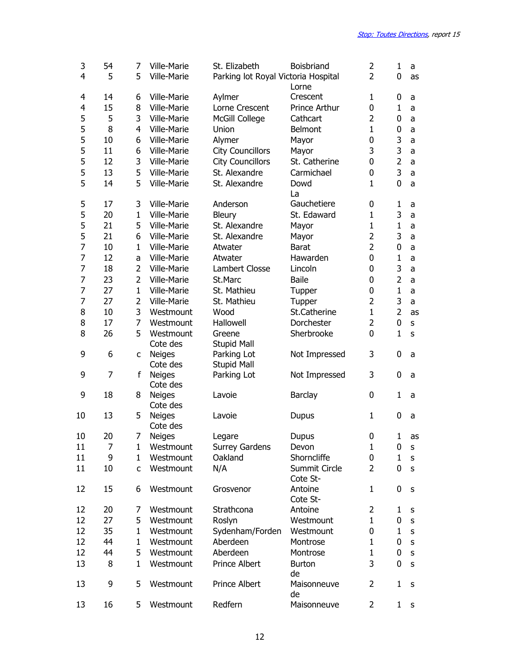| 3<br>4 | 54<br>5 | 7<br>5         | Ville-Marie<br>Ville-Marie | St. Elizabeth<br>Parking lot Royal Victoria Hospital | Boisbriand<br>Lorne       | 2<br>$\overline{2}$ | $\mathbf{1}$<br>0 | a<br>as      |
|--------|---------|----------------|----------------------------|------------------------------------------------------|---------------------------|---------------------|-------------------|--------------|
| 4      | 14      | 6              | Ville-Marie                | Aylmer                                               | Crescent                  | $\mathbf 1$         | 0                 | a            |
| 4      | 15      | 8              | Ville-Marie                | Lorne Crescent                                       | Prince Arthur             | 0                   | $\mathbf{1}$      | a            |
| 5      | 5       | 3              | Ville-Marie                | McGill College                                       | Cathcart                  | $\overline{2}$      | 0                 | a            |
| 5      | 8       | $\overline{4}$ | Ville-Marie                | Union                                                | Belmont                   | $\mathbf{1}$        | $\mathbf 0$       |              |
|        |         |                |                            |                                                      |                           |                     |                   | a            |
| 5      | 10      | 6              | Ville-Marie                | Alymer                                               | Mayor                     | 0                   | 3                 | a            |
| 5      | 11      | 6              | Ville-Marie                | <b>City Councillors</b>                              | Mayor                     | 3                   | 3                 | a            |
| 5      | 12      | 3              | Ville-Marie                | <b>City Councillors</b>                              | St. Catherine             | 0                   | $\overline{2}$    | a            |
| 5      | 13      | 5              | Ville-Marie                | St. Alexandre                                        | Carmichael                | 0                   | 3                 | a            |
| 5      | 14      | 5              | Ville-Marie                | St. Alexandre                                        | Dowd<br>La                | $\mathbf{1}$        | $\mathbf 0$       | a            |
| 5      | 17      | 3              | Ville-Marie                | Anderson                                             | Gauchetiere               | 0                   | $\mathbf{1}$      | a            |
| 5      | 20      | $\mathbf{1}$   | Ville-Marie                | Bleury                                               | St. Edaward               | $\mathbf{1}$        | 3                 | a            |
| 5      | 21      | 5              | Ville-Marie                | St. Alexandre                                        | Mayor                     | $\mathbf{1}$        | $\mathbf{1}$      | a            |
| 5      | 21      | 6              | Ville-Marie                | St. Alexandre                                        | Mayor                     | $\overline{2}$      | 3                 | a            |
| 7      | 10      | $\mathbf{1}$   | Ville-Marie                | Atwater                                              | <b>Barat</b>              | $\overline{2}$      | $\mathbf 0$       | a            |
| 7      | 12      | a              | Ville-Marie                | Atwater                                              | Hawarden                  | 0                   | $\mathbf{1}$      | a            |
| 7      | 18      | $\overline{2}$ | Ville-Marie                | Lambert Closse                                       | Lincoln                   | 0                   | 3                 | a            |
| 7      | 23      | $\overline{2}$ | Ville-Marie                | St.Marc                                              | <b>Baile</b>              |                     | $\overline{2}$    |              |
|        |         |                |                            |                                                      |                           | 0                   |                   | a            |
| 7      | 27      | $\mathbf{1}$   | Ville-Marie                | St. Mathieu                                          | Tupper                    | $\mathbf 0$         | $\mathbf{1}$      | a            |
| 7      | 27      | $\overline{2}$ | Ville-Marie                | St. Mathieu                                          | Tupper                    | 2                   | 3                 | a            |
| 8      | 10      | 3              | Westmount                  | Wood                                                 | St.Catherine              | $\mathbf{1}$        | $\overline{2}$    | as           |
| 8      | 17      | 7              | Westmount                  | Hallowell                                            | Dorchester                | $\overline{2}$      | $\mathbf 0$       | $\sf S$      |
| 8      | 26      | 5              | Westmount                  | Greene                                               | Sherbrooke                | $\mathbf 0$         | $\mathbf{1}$      | $\mathsf{s}$ |
|        |         |                | Cote des                   | <b>Stupid Mall</b>                                   |                           |                     |                   |              |
| 9      | 6       | c              | <b>Neiges</b>              | Parking Lot                                          | Not Impressed             | 3                   | 0                 | a            |
|        |         |                | Cote des                   | <b>Stupid Mall</b>                                   |                           |                     |                   |              |
| 9      | 7       | f              | <b>Neiges</b><br>Cote des  | Parking Lot                                          | Not Impressed             | 3                   | 0                 | a            |
| 9      | 18      | 8              | <b>Neiges</b>              | Lavoie                                               | Barclay                   | 0                   | $\mathbf{1}$      | a            |
|        |         |                | Cote des                   |                                                      |                           |                     |                   |              |
| 10     | 13      | 5              | <b>Neiges</b>              | Lavoie                                               | <b>Dupus</b>              | $\mathbf{1}$        | 0                 | a            |
|        |         |                | Cote des                   |                                                      |                           |                     |                   |              |
| 10     | 20      | 7              | Neiges                     | Legare                                               | Dupus                     | 0                   | 1                 | as           |
| 11     | 7       | 1              | Westmount                  | <b>Surrey Gardens</b>                                | Devon                     | $\mathbf 1$         | 0                 | s            |
| 11     | 9       | 1              | Westmount                  | Oakland                                              | Shorncliffe               | 0                   | $\mathbf{1}$      | S            |
| 11     | 10      | C              | Westmount                  | N/A                                                  | Summit Circle<br>Cote St- | 2                   | 0                 | S            |
| 12     | 15      | 6              | Westmount                  | Grosvenor                                            | Antoine<br>Cote St-       | 1                   | 0                 | S            |
| 12     | 20      | 7              | Westmount                  | Strathcona                                           | Antoine                   | 2                   | 1                 |              |
|        |         |                |                            |                                                      |                           |                     |                   | s            |
| 12     | 27      | 5              | Westmount                  | Roslyn                                               | Westmount                 | 1                   | 0                 | S            |
| 12     | 35      | 1              | Westmount                  | Sydenham/Forden                                      | Westmount                 | 0                   | $\mathbf{1}$      | $\sf S$      |
| 12     | 44      | 1              | Westmount                  | Aberdeen                                             | Montrose                  | $\mathbf{1}$        | 0                 | $\sf S$      |
| 12     | 44      | 5              | Westmount                  | Aberdeen                                             | Montrose                  | $\mathbf{1}$        | 0                 | S            |
| 13     | 8       | 1              | Westmount                  | Prince Albert                                        | <b>Burton</b><br>de       | 3                   | 0                 | S            |
| 13     | 9       | 5              | Westmount                  | Prince Albert                                        | Maisonneuve<br>de         | 2                   | 1                 | s            |
| 13     | 16      | 5              | Westmount                  | Redfern                                              | Maisonneuve               | $\overline{2}$      | 1                 | S            |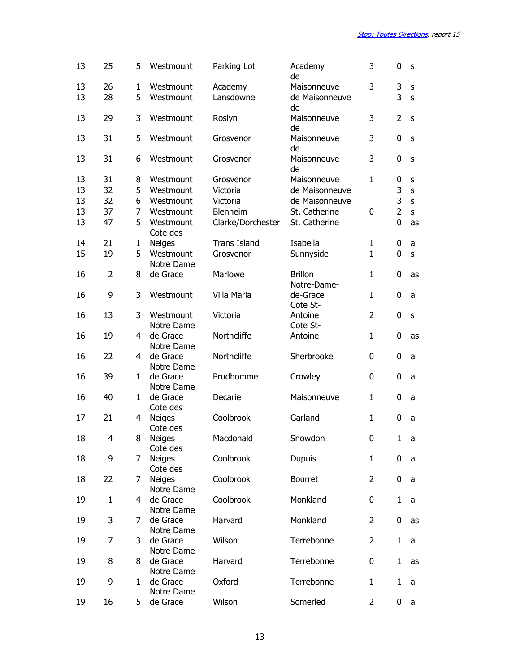| 13       | 25             | 5            | Westmount                   | Parking Lot          | Academy<br>de                 | 3              | 0              | S       |
|----------|----------------|--------------|-----------------------------|----------------------|-------------------------------|----------------|----------------|---------|
| 13<br>13 | 26<br>28       | 1<br>5       | Westmount<br>Westmount      | Academy<br>Lansdowne | Maisonneuve<br>de Maisonneuve | 3              | 3<br>3         | S<br>S  |
|          |                | 3            |                             |                      | de<br>Maisonneuve             | 3              | $\overline{2}$ |         |
| 13       | 29             |              | Westmount                   | Roslyn               | de                            |                |                | S       |
| 13       | 31             | 5            | Westmount                   | Grosvenor            | Maisonneuve<br>de             | 3              | 0              | S       |
| 13       | 31             | 6            | Westmount                   | Grosvenor            | Maisonneuve<br>de             | 3              | $\mathbf 0$    | S       |
| 13       | 31             | 8            | Westmount                   | Grosvenor            | Maisonneuve                   | $\mathbf{1}$   | 0              | S       |
| 13       | 32             | 5            | Westmount                   | Victoria             | de Maisonneuve                |                | 3              | $\sf S$ |
| 13       | 32             | 6            | Westmount                   | Victoria             | de Maisonneuve                |                | 3              | S       |
| 13       | 37             | 7            | Westmount                   | Blenheim             | St. Catherine                 | 0              | $\overline{2}$ | S       |
| 13       | 47             | 5            | Westmount<br>Cote des       | Clarke/Dorchester    | St. Catherine                 |                | 0              | as      |
| 14       | 21             | $\mathbf{1}$ | <b>Neiges</b>               | <b>Trans Island</b>  | Isabella                      | $\mathbf{1}$   | 0              | a       |
| 15       | 19             | 5            | Westmount<br>Notre Dame     | Grosvenor            | Sunnyside                     | $\mathbf{1}$   | 0              | S       |
| 16       | $\overline{2}$ | 8            | de Grace                    | Marlowe              | <b>Brillon</b><br>Notre-Dame- | $\mathbf{1}$   | 0              | as      |
| 16       | 9              | 3            | Westmount                   | Villa Maria          | de-Grace<br>Cote St-          | $\mathbf{1}$   | 0              | a       |
| 16       | 13             | 3            | Westmount<br>Notre Dame     | Victoria             | Antoine<br>Cote St-           | $\overline{2}$ | 0              | S       |
| 16       | 19             | 4            | de Grace                    | Northcliffe          | Antoine                       | 1              | 0              | as      |
| 16       | 22             | 4            | Notre Dame<br>de Grace      | Northcliffe          | Sherbrooke                    | 0              | 0              | a       |
| 16       | 39             | $\mathbf{1}$ | Notre Dame<br>de Grace      | Prudhomme            | Crowley                       | 0              | 0              | a       |
| 16       | 40             | $\mathbf{1}$ | Notre Dame<br>de Grace      | Decarie              | Maisonneuve                   | 1              | 0              | a       |
|          |                |              | Cote des                    |                      |                               |                |                |         |
| 17       | 21             | 4            | <b>Neiges</b><br>Cote des   | Coolbrook            | Garland                       | 1              | 0              | a       |
| 18       | 4              | 8            | Neiges<br>Cote des          | Macdonald            | Snowdon                       | 0              |                | 1 a     |
| 18       | 9              | 7            | <b>Neiges</b><br>Cote des   | Coolbrook            | <b>Dupuis</b>                 | $\mathbf{1}$   | 0              | a       |
| 18       | 22             | 7            | <b>Neiges</b><br>Notre Dame | Coolbrook            | Bourret                       | $\overline{2}$ | 0              | a       |
| 19       | $\mathbf{1}$   | 4            | de Grace<br>Notre Dame      | Coolbrook            | Monkland                      | 0              | $\mathbf{1}$   | a       |
| 19       | 3              | 7            | de Grace<br>Notre Dame      | Harvard              | Monkland                      | $\overline{2}$ | 0              | as      |
| 19       | $\overline{7}$ | 3            | de Grace<br>Notre Dame      | Wilson               | Terrebonne                    | $\overline{2}$ | $\mathbf{1}$   | a       |
| 19       | 8              | 8            | de Grace<br>Notre Dame      | Harvard              | Terrebonne                    | 0              | $\mathbf{1}$   | as      |
| 19       | 9              | 1            | de Grace                    | Oxford               | Terrebonne                    | $\mathbf{1}$   | $\mathbf{1}$   | a       |
| 19       | 16             | 5            | Notre Dame<br>de Grace      | Wilson               | Somerled                      | $\overline{2}$ | $\mathbf 0$    | a       |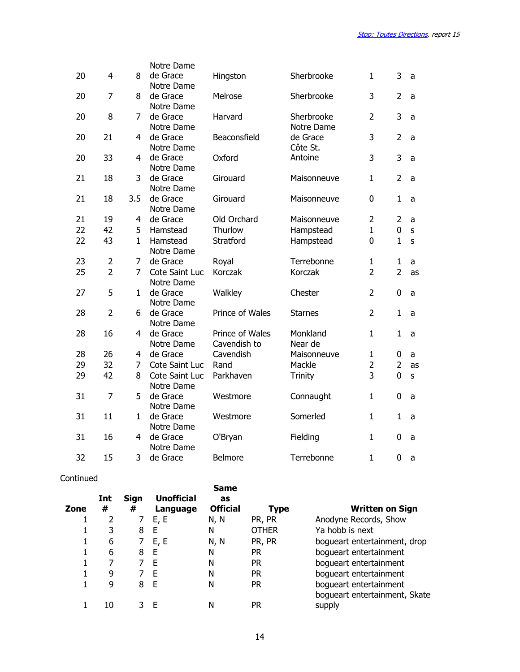|    |                |                | Notre Dame             |                 |                |                |                |         |
|----|----------------|----------------|------------------------|-----------------|----------------|----------------|----------------|---------|
| 20 | 4              | 8              | de Grace               | Hingston        | Sherbrooke     | 1              | 3              | a       |
|    |                |                | Notre Dame             |                 |                |                |                |         |
| 20 | $\overline{7}$ | 8              | de Grace               | Melrose         | Sherbrooke     | 3              | $\overline{2}$ | a       |
|    |                |                | Notre Dame             |                 |                |                |                |         |
| 20 | 8              | 7              | de Grace               | Harvard         | Sherbrooke     | $\overline{2}$ | 3              | a       |
|    |                |                | Notre Dame             |                 | Notre Dame     |                |                |         |
| 20 | 21             | 4              | de Grace               | Beaconsfield    | de Grace       | 3              | $\overline{2}$ | a       |
|    |                |                | Notre Dame             |                 | Côte St.       |                |                |         |
| 20 | 33             | 4              | de Grace               | Oxford          | Antoine        | 3              | 3              | a       |
|    |                |                | Notre Dame             |                 |                |                |                |         |
| 21 | 18             | 3              | de Grace               | Girouard        | Maisonneuve    | $\mathbf{1}$   | $\overline{2}$ | a       |
| 21 | 18             | 3.5            | Notre Dame<br>de Grace | Girouard        | Maisonneuve    | $\overline{0}$ | $\mathbf{1}$   |         |
|    |                |                | Notre Dame             |                 |                |                |                | a       |
| 21 | 19             | 4              | de Grace               | Old Orchard     | Maisonneuve    | $\overline{2}$ | $\overline{2}$ | a       |
| 22 | 42             | 5              | Hamstead               | Thurlow         | Hampstead      | $\mathbf{1}$   | 0              | $\sf S$ |
| 22 | 43             | $\mathbf{1}$   | Hamstead               | Stratford       | Hampstead      | 0              | $\mathbf{1}$   | S       |
|    |                |                | Notre Dame             |                 |                |                |                |         |
| 23 | $\overline{2}$ | 7              | de Grace               | Royal           | Terrebonne     | $\mathbf{1}$   | $\mathbf{1}$   | a       |
| 25 | $\overline{2}$ | 7              | Cote Saint Luc         | Korczak         | Korczak        | $\overline{2}$ | $\overline{2}$ | as      |
|    |                |                | Notre Dame             |                 |                |                |                |         |
| 27 | 5              | 1              | de Grace               | Walkley         | Chester        | $\overline{2}$ | 0              | a       |
|    |                |                | Notre Dame             |                 |                |                |                |         |
| 28 | $\overline{2}$ | 6              | de Grace               | Prince of Wales | <b>Starnes</b> | $\overline{2}$ | $\mathbf{1}$   | a       |
|    |                |                | Notre Dame             |                 |                |                |                |         |
| 28 | 16             | 4              | de Grace               | Prince of Wales | Monkland       | $\mathbf{1}$   | $\mathbf{1}$   | a       |
|    |                |                | Notre Dame             | Cavendish to    | Near de        |                |                |         |
| 28 | 26             | $\overline{4}$ | de Grace               | Cavendish       | Maisonneuve    | $\mathbf{1}$   | $\mathbf 0$    | a       |
| 29 | 32             | $\overline{7}$ | Cote Saint Luc         | Rand            | Mackle         | $\overline{2}$ | $\overline{2}$ | as      |
| 29 | 42             | 8              | Cote Saint Luc         | Parkhaven       | Trinity        | 3              | $\mathbf 0$    | s       |
|    |                |                | Notre Dame             |                 |                |                |                |         |
| 31 | 7              | 5              | de Grace               | Westmore        | Connaught      | $\mathbf{1}$   | $\mathbf 0$    | a       |
|    |                |                | Notre Dame             |                 |                |                |                |         |
| 31 | 11             | $\mathbf{1}$   | de Grace               | Westmore        | Somerled       | $\mathbf{1}$   | $\mathbf{1}$   | a       |
|    | 16             |                | Notre Dame<br>de Grace |                 |                | $\mathbf{1}$   | $\mathbf 0$    |         |
| 31 |                | 4              | Notre Dame             | O'Bryan         | Fielding       |                |                | a       |
| 32 | 15             | 3              | de Grace               | Belmore         | Terrebonne     | $\mathbf{1}$   | 0              | a       |
|    |                |                |                        |                 |                |                |                |         |

### Continued

| <b>Zone</b> | Int<br># | Sign<br># | <b>Unofficial</b><br>Language | <b>Same</b><br>as<br><b>Official</b> | <b>Type</b> | <b>Written on Sign</b>                                  |
|-------------|----------|-----------|-------------------------------|--------------------------------------|-------------|---------------------------------------------------------|
|             |          | 7         | E, E                          | N, N                                 | PR, PR      | Anodyne Records, Show                                   |
|             | 3        | 8         | Е                             | N                                    | OTHER       | Ya hobb is next                                         |
|             | 6        | 7         | E, E                          | N, N                                 | PR, PR      | bogueart entertainment, drop                            |
|             | 6        | 8         | E                             | N                                    | PR.         | bogueart entertainment                                  |
|             |          |           | F                             | N                                    | <b>PR</b>   | bogueart entertainment                                  |
|             | 9        |           | F                             | N                                    | <b>PR</b>   | bogueart entertainment                                  |
|             | 9        | 8         | E                             | N                                    | PR          | bogueart entertainment<br>bogueart entertainment, Skate |
|             | 10       |           | - F                           | N                                    | PR          | supply                                                  |
|             |          |           |                               |                                      |             |                                                         |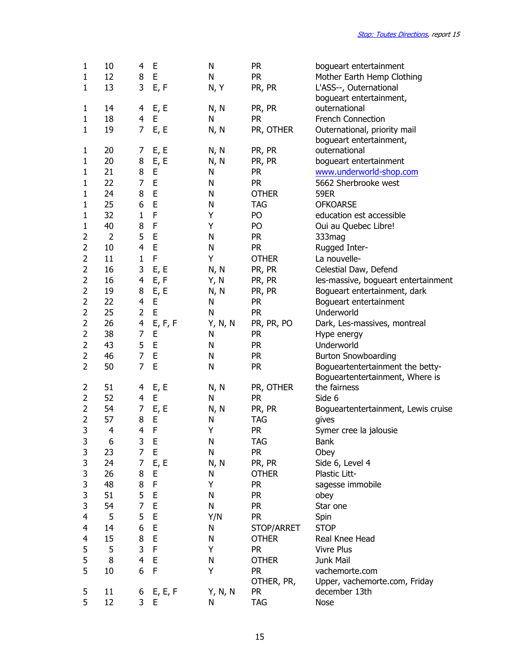| 1              | 10             | 4              | Е           | N         | <b>PR</b>    | bogueart entertainment                   |
|----------------|----------------|----------------|-------------|-----------|--------------|------------------------------------------|
| 1              | 12             | 8<br>3         | E           | N         | <b>PR</b>    | Mother Earth Hemp Clothing               |
| $\mathbf{1}$   | 13             |                | E, F        | N, Y      | PR, PR       | L'ASS--, Outernational                   |
| $\mathbf{1}$   | 14             | 4              | E, E        | N, N      | PR, PR       | bogueart entertainment,<br>outernational |
| $\mathbf{1}$   | 18             | 4              | E           | N         | <b>PR</b>    | <b>French Connection</b>                 |
| $\mathbf{1}$   | 19             | $\overline{7}$ | E, E        | N, N      | PR, OTHER    | Outernational, priority mail             |
|                |                |                |             |           |              | bogueart entertainment,                  |
| 1              | 20             | 7              | E, E        | N, N      | PR, PR       | outernational                            |
| 1              | 20             | 8              | E, E        | N, N      | PR, PR       | bogueart entertainment                   |
| 1              | 21             | 8              | E           | N         | <b>PR</b>    | www.underworld-shop.com                  |
| 1              | 22             | 7              | E           | N         | <b>PR</b>    | 5662 Sherbrooke west                     |
| 1              | 24             | 8              | E           | N         | <b>OTHER</b> | <b>59ER</b>                              |
| 1              | 25             | 6              | E           | N         | <b>TAG</b>   | <b>OFKOARSE</b>                          |
| 1              | 32             | $\mathbf{1}$   | F           | Υ         | PO           | education est accessible                 |
| $\mathbf{1}$   | 40             | 8              | $\mathsf F$ | Υ         | PO           | Oui au Quebec Libre!                     |
| $\overline{2}$ | $\overline{2}$ | 5              | E           | N         | <b>PR</b>    | 333mag                                   |
| $\overline{c}$ | 10             | $\overline{4}$ | $\mathsf E$ | N         | <b>PR</b>    | Rugged Inter-                            |
| $\overline{2}$ | 11             | $\mathbf{1}$   | F           | Υ         | <b>OTHER</b> | La nouvelle-                             |
| 2              | 16             | 3              | E, E        | N, N      | PR, PR       | Celestial Daw, Defend                    |
| $\overline{2}$ | 16             | 4              | E, F        | Y, N      | PR, PR       | les-massive, bogueart entertainment      |
| $\overline{2}$ | 19             | 8              | E, E        | N, N      | PR, PR       | Bogueart entertainment, dark             |
| $\overline{2}$ | 22             | $\overline{4}$ | E           | N         | <b>PR</b>    | Bogueart entertainment                   |
| $\overline{2}$ | 25             | $\overline{2}$ | $\mathsf E$ | N         | <b>PR</b>    | Underworld                               |
| $\overline{2}$ | 26             | 4              | E, F, F     | Y, N, N   | PR, PR, PO   | Dark, Les-massives, montreal             |
| $\overline{c}$ | 38             | 7              | E           | N         | <b>PR</b>    | Hype energy                              |
| $\overline{2}$ | 43             | 5              | $\mathsf E$ | N         | <b>PR</b>    | Underworld                               |
| $\overline{2}$ | 46             | $\overline{7}$ | E           | N         | <b>PR</b>    | <b>Burton Snowboarding</b>               |
| $\overline{2}$ | 50             | $\overline{7}$ | $\mathsf E$ | N         | <b>PR</b>    | Bogueartentertainment the betty-         |
|                |                |                |             |           |              | Bogueartentertainment, Where is          |
| 2              | 51             | 4              | E, E        | N, N      | PR, OTHER    | the fairness                             |
| $\overline{2}$ | 52             | $\overline{4}$ | E           | N         | <b>PR</b>    | Side 6                                   |
| $\overline{2}$ | 54             | 7              | E, E        | N, N      | PR, PR       | Bogueartentertainment, Lewis cruise      |
| $\overline{2}$ | 57             | 8              | E           | N         | <b>TAG</b>   | gives                                    |
| 3              | $\overline{4}$ | $\overline{4}$ | $\mathsf F$ | Υ         | <b>PR</b>    | Symer cree la jalousie                   |
| 3              | 6              | 3              | $\mathsf E$ | ${\sf N}$ | <b>TAG</b>   | Bank                                     |
| 3              | 23             | 7              | E           | N         | <b>PR</b>    | Obey                                     |
| 3              | 24             | 7              | E, E        | N, N      | PR, PR       | Side 6, Level 4                          |
| 3              | 26             | 8              | E           | N         | <b>OTHER</b> | Plastic Litt-                            |
| 3              | 48             | 8              | $\mathsf F$ | Υ         | <b>PR</b>    | sagesse immobile                         |
| 3              | 51             | 5              | E           | N         | <b>PR</b>    | obey                                     |
| 3              | 54             | $\overline{7}$ | E           | N         | <b>PR</b>    | Star one                                 |
| 4              | 5              | 5              | E           | Y/N       | <b>PR</b>    | Spin                                     |
| 4              | 14             | 6              | E           | N         | STOP/ARRET   | <b>STOP</b>                              |
| 4              | 15             | 8              | E           | N         | <b>OTHER</b> | Real Knee Head                           |
| 5              | 5              | 3              | F           | Υ         | <b>PR</b>    | <b>Vivre Plus</b>                        |
| 5              | 8              | 4              | E           | N         | <b>OTHER</b> | Junk Mail                                |
| 5              | 10             | 6              | $\mathsf F$ | Υ         | <b>PR</b>    | vachemorte.com                           |
|                |                |                |             |           | OTHER, PR,   | Upper, vachemorte.com, Friday            |
| 5<br>5         | 11             | 6<br>3         | E, E, F     | Y, N, N   | <b>PR</b>    | december 13th                            |
|                | 12             |                | E           | N         | <b>TAG</b>   | <b>Nose</b>                              |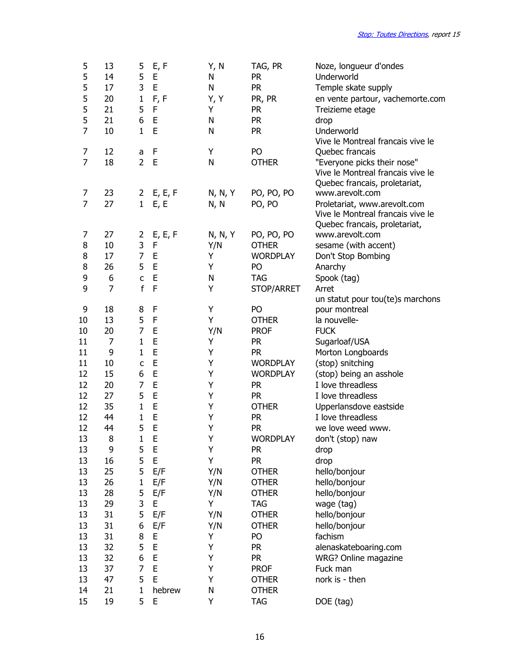| 5<br>5<br>5    | 13<br>14<br>17 | 5<br>5<br>3    | E, F<br>E<br>E | Y, N<br>N<br>N | TAG, PR<br><b>PR</b><br><b>PR</b> | Noze, longueur d'ondes<br>Underworld                                                               |
|----------------|----------------|----------------|----------------|----------------|-----------------------------------|----------------------------------------------------------------------------------------------------|
|                |                |                |                |                |                                   | Temple skate supply                                                                                |
| 5              | 20             | $\mathbf{1}$   | F, F           | Y, Y           | PR, PR                            | en vente partour, vachemorte.com                                                                   |
| 5              | 21             | 5              | $\mathsf F$    | Υ              | <b>PR</b>                         | Treizieme etage                                                                                    |
| 5              | 21             | 6              | $\mathsf E$    | N              | <b>PR</b>                         | drop                                                                                               |
| $\overline{7}$ | 10             | $\mathbf{1}$   | E              | N              | <b>PR</b>                         | Underworld                                                                                         |
|                |                |                |                |                |                                   | Vive le Montreal francais vive le                                                                  |
| 7              | 12             | a              | F              | Υ              | PO                                | Quebec francais                                                                                    |
| $\overline{7}$ | 18             | $\overline{2}$ | E              | N              | <b>OTHER</b>                      | "Everyone picks their nose"<br>Vive le Montreal francais vive le                                   |
|                |                |                |                |                |                                   | Quebec francais, proletariat,                                                                      |
| 7              | 23             |                | 2 E, E, F      | N, N, Y        | PO, PO, PO                        | www.arevolt.com                                                                                    |
| 7              | 27             | 1              | E, E           | N, N           | PO, PO                            | Proletariat, www.arevolt.com<br>Vive le Montreal francais vive le<br>Quebec francais, proletariat, |
| 7              | 27             | 2              | E, E, F        | N, N, Y        | PO, PO, PO                        | www.arevolt.com                                                                                    |
| 8              | 10             | 3              | F              | Y/N            | <b>OTHER</b>                      | sesame (with accent)                                                                               |
| 8              | 17             | 7              | E              | Υ              | <b>WORDPLAY</b>                   | Don't Stop Bombing                                                                                 |
| 8              | 26             | 5              | E              | Υ              | PO                                | Anarchy                                                                                            |
| 9              | 6              | $\mathsf{C}$   | E              | N              | <b>TAG</b>                        | Spook (tag)                                                                                        |
| 9              | $\overline{7}$ | $\mathsf{f}$   | F              | Υ              |                                   | Arret                                                                                              |
|                |                |                |                |                | STOP/ARRET                        |                                                                                                    |
| 9              | 18             | 8              | F              | Υ              | PO                                | un statut pour tou(te)s marchons<br>pour montreal                                                  |
| 10             | 13             | 5              | F              | Υ              | <b>OTHER</b>                      | la nouvelle-                                                                                       |
| 10             | 20             | 7              | E              | Y/N            | <b>PROF</b>                       | <b>FUCK</b>                                                                                        |
|                | 7              | $\mathbf{1}$   | E              |                |                                   |                                                                                                    |
| 11<br>11       | 9              | $\mathbf{1}$   | E              | Υ<br>Υ         | <b>PR</b><br><b>PR</b>            | Sugarloaf/USA                                                                                      |
| 11             | 10             |                | E              | Υ              |                                   | Morton Longboards                                                                                  |
|                |                | $\mathsf{C}$   | E              | Υ              | <b>WORDPLAY</b>                   | (stop) snitching                                                                                   |
| 12             | 15             | 6              | E              |                | <b>WORDPLAY</b>                   | (stop) being an asshole                                                                            |
| 12             | 20             | 7<br>5         | E              | Υ<br>Υ         | <b>PR</b>                         | I love threadless                                                                                  |
| 12             | 27             |                |                |                | <b>PR</b>                         | I love threadless                                                                                  |
| 12             | 35             | $\mathbf{1}$   | E              | Υ              | <b>OTHER</b>                      | Upperlansdove eastside                                                                             |
| 12             | 44             | $\mathbf{1}$   | E              | Υ              | <b>PR</b>                         | I love threadless                                                                                  |
| 12             | 44             | 5              | E              | Υ              | <b>PR</b>                         | we love weed www.                                                                                  |
| 13             | 8              | $\mathbf{1}$   | E              | Y              | <b>WORDPLAY</b>                   | don't (stop) naw                                                                                   |
| 13             | 9              | 5              | E              | Υ              | <b>PR</b>                         | drop                                                                                               |
| 13             | 16             | 5              | E              | Υ              | PR.                               | drop                                                                                               |
| 13             | 25             | 5              | E/F            | Y/N            | <b>OTHER</b>                      | hello/bonjour                                                                                      |
| 13             | 26             | $\mathbf{1}$   | E/F            | Y/N            | <b>OTHER</b>                      | hello/bonjour                                                                                      |
| 13             | 28             | 5              | E/F            | Y/N            | <b>OTHER</b>                      | hello/bonjour                                                                                      |
| 13             | 29             | 3              | E              | Υ              | TAG                               | wage (tag)                                                                                         |
| 13             | 31             | 5              | E/F            | Y/N            | <b>OTHER</b>                      | hello/bonjour                                                                                      |
| 13             | 31             | 6              | E/F            | Y/N            | <b>OTHER</b>                      | hello/bonjour                                                                                      |
| 13             | 31             | 8              | E              | Υ              | PO                                | fachism                                                                                            |
| 13             | 32             | 5              | E              | Y              | PR                                | alenaskateboaring.com                                                                              |
| 13             | 32             | 6              | E              | Υ              | <b>PR</b>                         | WRG? Online magazine                                                                               |
| 13             | 37             | 7              | E              | Υ              | <b>PROF</b>                       | Fuck man                                                                                           |
| 13             | 47             | 5              | E              | Υ              | <b>OTHER</b>                      | nork is - then                                                                                     |
| 14             | 21             | $\mathbf{1}$   | hebrew         | N              | <b>OTHER</b>                      |                                                                                                    |
| 15             | 19             | 5              | E              | Y              | <b>TAG</b>                        | DOE (tag)                                                                                          |
|                |                |                |                |                |                                   |                                                                                                    |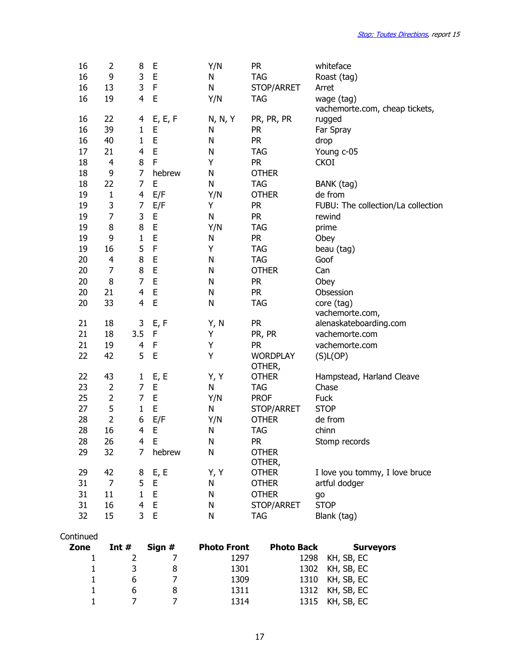| 16                | 2              | 8              | E           | Y/N                | <b>PR</b>         | whiteface                          |
|-------------------|----------------|----------------|-------------|--------------------|-------------------|------------------------------------|
| 16                | 9              | 3              | E           | N                  | <b>TAG</b>        | Roast (tag)                        |
| 16                | 13             | 3              | F           | N                  | STOP/ARRET        | Arret                              |
| 16                | 19             | $\overline{4}$ | E           | Y/N                | <b>TAG</b>        | wage (tag)                         |
|                   |                |                |             |                    |                   | vachemorte.com, cheap tickets,     |
| 16                | 22             | 4              | E, E, F     | N, N, Y            | PR, PR, PR        | rugged                             |
| 16                | 39             | $\mathbf{1}$   | E           | N                  | <b>PR</b>         | Far Spray                          |
| 16                | 40             | $\mathbf{1}$   | E           | N                  | <b>PR</b>         | drop                               |
| 17                | 21             | $\overline{4}$ | $\mathsf E$ | N                  | <b>TAG</b>        | Young c-05                         |
| 18                | 4              | 8              | F           | Υ                  | <b>PR</b>         | <b>CKOI</b>                        |
| 18                | 9              | 7              | hebrew      | N                  | <b>OTHER</b>      |                                    |
| 18                | 22             | $\overline{7}$ | E           | N                  | <b>TAG</b>        | BANK (tag)                         |
| 19                | $\mathbf 1$    | $\overline{4}$ | E/F         | Y/N                | <b>OTHER</b>      | de from                            |
| 19                | 3              | 7              | E/F         | Υ                  | <b>PR</b>         | FUBU: The collection/La collection |
| 19                | $\overline{7}$ | 3              | E           | $\mathsf{N}$       | <b>PR</b>         | rewind                             |
| 19                | 8              | 8              | E           | Y/N                | <b>TAG</b>        | prime                              |
| 19                | 9              | $\mathbf{1}$   | E           | N                  | <b>PR</b>         | Obey                               |
| 19                | 16             | 5              | F           | Υ                  | <b>TAG</b>        | beau (tag)                         |
| 20                | 4              | 8              | E           | N                  | <b>TAG</b>        | Goof                               |
| 20                | 7              | 8              | E           | N                  | <b>OTHER</b>      | Can                                |
| 20                | 8              | $\overline{7}$ | E           | N                  | <b>PR</b>         | Obey                               |
| 20                | 21             | $\overline{4}$ | E           | N                  | <b>PR</b>         | Obsession                          |
| 20                | 33             | $\overline{4}$ | E           | N                  | <b>TAG</b>        | core (tag)                         |
|                   |                |                |             |                    |                   | vachemorte.com,                    |
| 21                | 18             | 3              | E, F        | Y, N               | <b>PR</b>         | alenaskateboarding.com             |
| 21                | 18             | 3.5            | F           | Υ                  | PR, PR            | vachemorte.com                     |
| 21                | 19             | 4              | F           | Υ                  | <b>PR</b>         | vachemorte.com                     |
| 22                | 42             | 5              | E           | Υ                  | <b>WORDPLAY</b>   | (S)L(OP)                           |
|                   |                |                |             |                    | OTHER,            |                                    |
| 22                | 43             | $\mathbf{1}$   | E, E        | Y, Y               | <b>OTHER</b>      | Hampstead, Harland Cleave          |
| 23                | $\overline{2}$ | 7              | E           | N                  | <b>TAG</b>        | Chase                              |
| 25                | $\overline{2}$ | $\overline{7}$ | E           | Y/N                | <b>PROF</b>       | Fuck                               |
| 27                | 5              | $\mathbf{1}$   | E           | N                  | STOP/ARRET        | <b>STOP</b>                        |
| 28                | $\overline{2}$ | 6              | E/F         | Y/N                | <b>OTHER</b>      | de from                            |
| 28                | 16             | $\overline{4}$ | E           | N                  | <b>TAG</b>        | chinn                              |
| 28                | 26             | 4              | $\mathsf E$ | N                  | <b>PR</b>         | Stomp records                      |
| 29                | 32             | 7              | hebrew      | N                  | <b>OTHER</b>      |                                    |
|                   |                |                |             |                    | OTHER,            |                                    |
| 29                | 42             | 8              | E, E        | Y, Y               | <b>OTHER</b>      | I love you tommy, I love bruce     |
| 31                | $\overline{7}$ | 5              | Е           | N                  | <b>OTHER</b>      | artful dodger                      |
| 31                | 11             | $\mathbf{1}$   | E           | N                  | <b>OTHER</b>      | go                                 |
| 31                | 16             | $\overline{4}$ | Е           | N                  | STOP/ARRET        | <b>STOP</b>                        |
| 32                | 15             | 3              | $\mathsf E$ | N                  | <b>TAG</b>        | Blank (tag)                        |
|                   |                |                |             |                    |                   |                                    |
| Continued<br>Zone | Int $#$        |                | Sian #      | <b>Photo Front</b> | <b>Photo Back</b> | <b>Surveyors</b>                   |

| Zone | Int $#$ | Sign # | <b>Photo Front</b> | <b>Photo Back</b> | <b>Surveyors</b> |
|------|---------|--------|--------------------|-------------------|------------------|
|      |         |        | 1297               |                   | 1298 KH, SB, EC  |
|      |         |        | 1301               |                   | 1302 KH, SB, EC  |
|      |         |        | 1309               |                   | 1310 KH, SB, EC  |
|      |         |        | 1311               |                   | 1312 KH, SB, EC  |
|      |         |        | 1314               |                   | 1315 KH, SB, EC  |
|      |         |        |                    |                   |                  |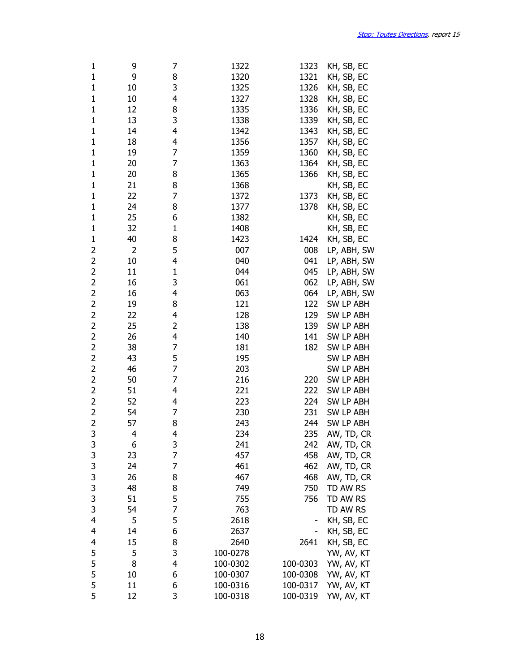| 1                        | 9  | 7            | 1322     | 1323     | KH, SB, EC       |
|--------------------------|----|--------------|----------|----------|------------------|
| $\mathbf 1$              | 9  | 8            | 1320     | 1321     | KH, SB, EC       |
| $\mathbf 1$              | 10 | 3            | 1325     | 1326     | KH, SB, EC       |
| 1                        | 10 | 4            | 1327     | 1328     | KH, SB, EC       |
| $\mathbf 1$              | 12 | 8            | 1335     | 1336     | KH, SB, EC       |
| $\mathbf 1$              | 13 | 3            | 1338     | 1339     | KH, SB, EC       |
| $\mathbf 1$              | 14 | 4            | 1342     | 1343     | KH, SB, EC       |
| $\mathbf 1$              | 18 | 4            | 1356     | 1357     | KH, SB, EC       |
| $\mathbf 1$              | 19 | 7            | 1359     | 1360     | KH, SB, EC       |
| $\mathbf 1$              | 20 | 7            | 1363     | 1364     | KH, SB, EC       |
| $\mathbf 1$              | 20 | 8            | 1365     | 1366     | KH, SB, EC       |
| 1                        | 21 | 8            | 1368     |          | KH, SB, EC       |
| $\mathbf 1$              | 22 | 7            | 1372     | 1373     | KH, SB, EC       |
| $\mathbf 1$              | 24 | 8            | 1377     | 1378     | KH, SB, EC       |
| $\mathbf 1$              | 25 | 6            | 1382     |          | KH, SB, EC       |
| $\mathbf 1$              | 32 | $\mathbf 1$  | 1408     |          | KH, SB, EC       |
| $\mathbf 1$              |    | 8            | 1423     | 1424     |                  |
|                          | 40 |              |          |          | KH, SB, EC       |
| $\overline{c}$           | 2  | 5<br>4       | 007      | 008      | LP, ABH, SW      |
| $\overline{2}$           | 10 |              | 040      | 041      | LP, ABH, SW      |
| $\overline{c}$           | 11 | $\mathbf{1}$ | 044      | 045      | LP, ABH, SW      |
| $\overline{c}$           | 16 | 3            | 061      | 062      | LP, ABH, SW      |
| $\overline{2}$           | 16 | 4            | 063      | 064      | LP, ABH, SW      |
| $\overline{c}$           | 19 | 8            | 121      | 122      | SW LP ABH        |
| $\overline{2}$           | 22 | 4            | 128      | 129      | SW LP ABH        |
| $\overline{c}$           | 25 | 2            | 138      | 139      | SW LP ABH        |
| $\overline{2}$           | 26 | 4            | 140      | 141      | SW LP ABH        |
| $\overline{c}$           | 38 | 7            | 181      | 182      | SW LP ABH        |
| $\overline{c}$           | 43 | 5            | 195      |          | SW LP ABH        |
| $\overline{c}$           | 46 | 7            | 203      |          | <b>SW LP ABH</b> |
| $\overline{2}$           | 50 | 7            | 216      | 220      | <b>SW LP ABH</b> |
| $\overline{2}$           | 51 | 4            | 221      | 222      | SW LP ABH        |
| $\overline{2}$           | 52 | 4            | 223      | 224      | <b>SW LP ABH</b> |
| $\overline{2}$           | 54 | 7            | 230      | 231      | <b>SW LP ABH</b> |
| $\overline{2}$           | 57 | 8            | 243      | 244      | SW LP ABH        |
| 3                        | 4  | 4            | 234      | 235      | AW, TD, CR       |
| 3                        | 6  | 3            | 241      | 242      | AW, TD, CR       |
|                          | 23 | 7            | 457      | 458      | AW, TD, CR       |
| 3333333                  | 24 | 7            | 461      | 462      | AW, TD, CR       |
|                          | 26 | 8            | 467      | 468      | AW, TD, CR       |
|                          | 48 | 8            | 749      | 750      | TD AW RS         |
|                          | 51 | 5            | 755      | 756      | TD AW RS         |
|                          | 54 | 7            | 763      |          | TD AW RS         |
| $\overline{4}$           | 5  | 5            | 2618     |          | KH, SB, EC       |
| 4                        | 14 | 6            | 2637     |          | KH, SB, EC       |
| $\overline{\mathcal{A}}$ | 15 | 8            | 2640     | 2641     | KH, SB, EC       |
| 5                        | 5  | 3            | 100-0278 |          | YW, AV, KT       |
| 5                        | 8  | 4            | 100-0302 | 100-0303 | YW, AV, KT       |
| 5                        | 10 | 6            | 100-0307 | 100-0308 | YW, AV, KT       |
| 5                        | 11 | 6            | 100-0316 | 100-0317 | YW, AV, KT       |
| 5                        | 12 | 3            | 100-0318 |          |                  |
|                          |    |              |          | 100-0319 | YW, AV, KT       |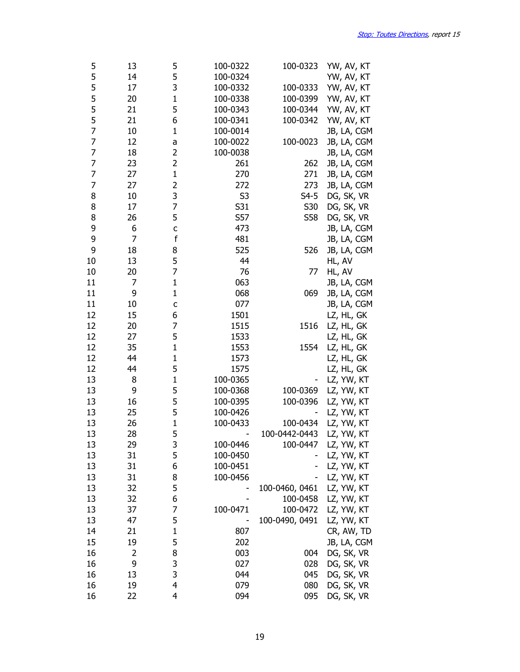| 5  | 13     | 5                       | 100-0322       | 100-0323       | YW, AV, KT  |
|----|--------|-------------------------|----------------|----------------|-------------|
| 5  | 14     | 5                       | 100-0324       |                | YW, AV, KT  |
| 5  | 17     | 3                       | 100-0332       | 100-0333       | YW, AV, KT  |
| 5  | 20     | $\mathbf{1}$            | 100-0338       | 100-0399       | YW, AV, KT  |
| 5  | 21     | 5                       | 100-0343       | 100-0344       | YW, AV, KT  |
| 5  | 21     | 6                       | 100-0341       | 100-0342       | YW, AV, KT  |
| 7  | 10     | $\mathbf{1}$            | 100-0014       |                | JB, LA, CGM |
| 7  | 12     | a                       | 100-0022       | 100-0023       | JB, LA, CGM |
| 7  | 18     | $\overline{c}$          | 100-0038       |                | JB, LA, CGM |
| 7  | 23     | $\overline{c}$          | 261            | 262            | JB, LA, CGM |
| 7  | 27     | $\mathbf{1}$            | 270            | 271            | JB, LA, CGM |
| 7  | 27     | $\overline{\mathbf{c}}$ | 272            | 273            | JB, LA, CGM |
| 8  | 10     | 3                       | S <sub>3</sub> | $S4-5$         | DG, SK, VR  |
| 8  | 17     | 7                       | S31            | S30            | DG, SK, VR  |
| 8  | 26     | 5                       | S57            | S58            |             |
|    |        |                         |                |                | DG, SK, VR  |
| 9  | 6<br>7 | C                       | 473            |                | JB, LA, CGM |
| 9  |        | f                       | 481            |                | JB, LA, CGM |
| 9  | 18     | 8                       | 525            | 526            | JB, LA, CGM |
| 10 | 13     | 5                       | 44             |                | HL, AV      |
| 10 | 20     | 7                       | 76             | 77             | HL, AV      |
| 11 | 7      | $\mathbf{1}$            | 063            |                | JB, LA, CGM |
| 11 | 9      | $\mathbf{1}$            | 068            | 069            | JB, LA, CGM |
| 11 | 10     | $\mathsf{C}$            | 077            |                | JB, LA, CGM |
| 12 | 15     | 6                       | 1501           |                | LZ, HL, GK  |
| 12 | 20     | 7                       | 1515           | 1516           | LZ, HL, GK  |
| 12 | 27     | 5                       | 1533           |                | LZ, HL, GK  |
| 12 | 35     | $\mathbf{1}$            | 1553           | 1554           | LZ, HL, GK  |
| 12 | 44     | $\mathbf{1}$            | 1573           |                | LZ, HL, GK  |
| 12 | 44     | 5                       | 1575           |                | LZ, HL, GK  |
| 13 | 8      | $\mathbf{1}$            | 100-0365       |                | LZ, YW, KT  |
| 13 | 9      | 5                       | 100-0368       | 100-0369       | LZ, YW, KT  |
| 13 | 16     | 5                       | 100-0395       | 100-0396       | LZ, YW, KT  |
| 13 | 25     | 5                       | 100-0426       |                | LZ, YW, KT  |
| 13 | 26     | $\mathbf{1}$            | 100-0433       | 100-0434       | LZ, YW, KT  |
| 13 | 28     | 5                       |                | 100-0442-0443  | LZ, YW, KT  |
| 13 | 29     | 3                       | 100-0446       | 100-0447       | LZ, YW, KT  |
| 13 | 31     | 5                       | 100-0450       |                | LZ, YW, KT  |
| 13 | 31     | 6                       | 100-0451       |                | LZ, YW, KT  |
| 13 | 31     | 8                       | 100-0456       |                | LZ, YW, KT  |
| 13 | 32     | 5                       |                | 100-0460, 0461 | LZ, YW, KT  |
| 13 | 32     | 6                       |                | 100-0458       | LZ, YW, KT  |
| 13 | 37     | 7                       | 100-0471       | 100-0472       | LZ, YW, KT  |
| 13 | 47     | 5                       |                | 100-0490, 0491 | LZ, YW, KT  |
| 14 | 21     | $\mathbf{1}$            | 807            |                | CR, AW, TD  |
| 15 | 19     | 5                       | 202            |                | JB, LA, CGM |
| 16 | 2      | 8                       | 003            | 004            | DG, SK, VR  |
| 16 | 9      | 3                       | 027            | 028            | DG, SK, VR  |
| 16 | 13     | 3                       | 044            | 045            | DG, SK, VR  |
| 16 |        | 4                       | 079            | 080            |             |
|    | 19     |                         |                |                | DG, SK, VR  |
| 16 | 22     | 4                       | 094            | 095            | DG, SK, VR  |